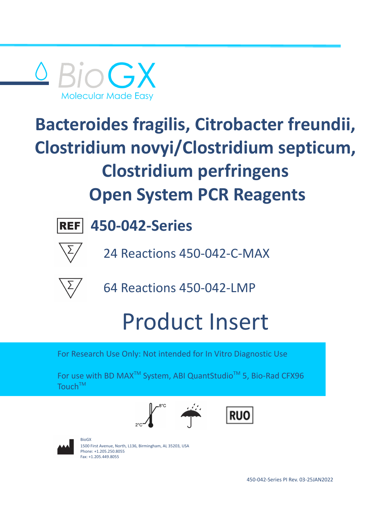



24 Reactions 450-042-C-MAX



64 Reactions 450-042-LMP

# Product Insert

For Research Use Only: Not intended for In Vitro Diagnostic Use

For use with BD MAX<sup>™</sup> System, ABI QuantStudio<sup>™</sup> 5, Bio-Rad CFX96 Touch<sup>TM</sup>







BioGX 1500 First Avenue, North, L136, Birmingham, AL 35203, USA Phone: +1.205.250.8055 Fax: +1.205.449.8055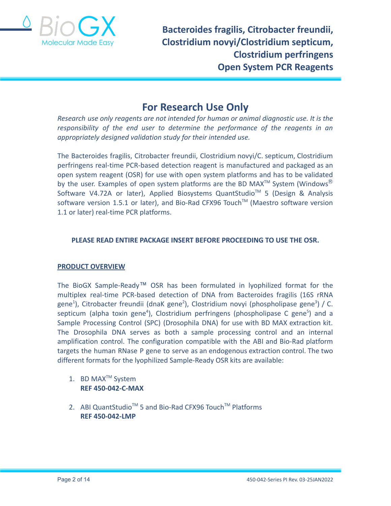

## **For Research Use Only**

*Research use only reagents are not intended for human or animal diagnostic use. It is the responsibility of the end user to determine the performance of the reagents in an appropriately designed validation study for their intended use.*

The Bacteroides fragilis, Citrobacter freundii, Clostridium novyi/C. septicum, Clostridium perfringens real-time PCR-based detection reagent is manufactured and packaged as an open system reagent (OSR) for use with open system platforms and has to be validated by the user. Examples of open system platforms are the BD MAX<sup>TM</sup> System (Windows<sup>®</sup> Software V4.72A or later), Applied Biosystems QuantStudio<sup>™</sup> 5 (Design & Analysis software version 1.5.1 or later), and Bio-Rad CFX96 Touch™ (Maestro software version 1.1 or later) real-time PCR platforms.

## **PLEASE READ ENTIRE PACKAGE INSERT BEFORE PROCEEDING TO USE THE OSR.**

## **PRODUCT OVERVIEW**

The BioGX Sample-Ready™ OSR has been formulated in lyophilized format for the multiplex real-time PCR-based detection of DNA from Bacteroides fragilis (16S rRNA gene<sup>1</sup>), Citrobacter freundii (dnaK gene<sup>2</sup>), Clostridium novyi (phospholipase gene<sup>3</sup>) / C. septicum (alpha toxin gene<sup>4</sup>), Clostridium perfringens (phospholipase C gene<sup>5</sup>) and a Sample Processing Control (SPC) (Drosophila DNA) for use with BD MAX extraction kit. The Drosophila DNA serves as both a sample processing control and an internal amplification control. The configuration compatible with the ABI and Bio-Rad platform targets the human RNase P gene to serve as an endogenous extraction control. The two different formats for the lyophilized Sample-Ready OSR kits are available:

- 1. BD MAX<sup>™</sup> System **REF 450-042-C-MAX**
- 2. ABI QuantStudio<sup>™</sup> 5 and Bio-Rad CFX96 Touch<sup>™</sup> Platforms **REF 450-042-LMP**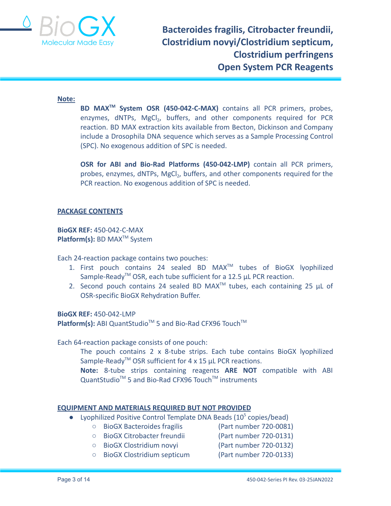

#### **Note:**

**BD MAXTM System OSR (450-042-C-MAX)** contains all PCR primers, probes, enzymes, dNTPs, MgCl<sub>2</sub>, buffers, and other components required for PCR reaction. BD MAX extraction kits available from Becton, Dickinson and Company include a Drosophila DNA sequence which serves as a Sample Processing Control (SPC). No exogenous addition of SPC is needed.

**OSR for ABI and Bio-Rad Platforms (450-042-LMP)** contain all PCR primers, probes, enzymes, dNTPs, MgCl<sub>2</sub>, buffers, and other components required for the PCR reaction. No exogenous addition of SPC is needed.

### **PACKAGE CONTENTS**

**BioGX REF:** 450-042-C-MAX **Platform(s):** BD MAX<sup>™</sup> System

Each 24-reaction package contains two pouches:

- 1. First pouch contains 24 sealed BD MAX<sup>™</sup> tubes of BioGX lyophilized Sample-Ready<sup>™</sup> OSR, each tube sufficient for a 12.5 µL PCR reaction.
- 2. Second pouch contains 24 sealed BD MAX<sup>TM</sup> tubes, each containing 25  $\mu$ L of OSR-specific BioGX Rehydration Buffer.

**BioGX REF:** 450-042-LMP

Platform(s): ABI QuantStudio<sup>™</sup> 5 and Bio-Rad CFX96 Touch<sup>™</sup>

Each 64-reaction package consists of one pouch:

The pouch contains 2 x 8-tube strips. Each tube contains BioGX lyophilized Sample-Ready<sup>TM</sup> OSR sufficient for 4 x 15  $\mu$ L PCR reactions.

**Note:** 8-tube strips containing reagents **ARE NOT** compatible with ABI QuantStudio<sup>™</sup> 5 and Bio-Rad CFX96 Touch<sup>™</sup> instruments

#### **EQUIPMENT AND MATERIALS REQUIRED BUT NOT PROVIDED**

- Lyophilized Positive Control Template DNA Beads  $(10^5 \text{ copies/bead})$ 
	- BioGX Bacteroides fragilis (Part number 720-0081)
		- BioGX Citrobacter freundii (Part number 720-0131)
	-
	- BioGX Clostridium novyi (Part number 720-0132)
	- BioGX Clostridium septicum (Part number 720-0133)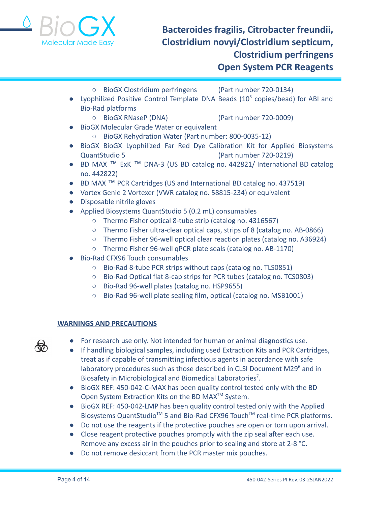

- BioGX Clostridium perfringens (Part number 720-0134)
- Lyophilized Positive Control Template DNA Beads  $(10^5 \text{ copies/bead})$  for ABI and Bio-Rad platforms
	- BioGX RNaseP (DNA) (Part number 720-0009)

- BioGX Molecular Grade Water or equivalent
	- BioGX Rehydration Water (Part number: 800-0035-12)
- BioGX BioGX Lyophilized Far Red Dye Calibration Kit for Applied Biosystems QuantStudio 5 (Part number 720-0219)
- BD MAX<sup>TM</sup> ExK<sup>TM</sup> DNA-3 (US BD catalog no. 442821/ International BD catalog no. 442822)
- BD MAX ™ PCR Cartridges (US and International BD catalog no. 437519)
- Vortex Genie 2 Vortexer (VWR catalog no. 58815-234) or equivalent
- Disposable nitrile gloves
- Applied Biosystems QuantStudio 5 (0.2 mL) consumables
	- Thermo Fisher optical 8-tube strip (catalog no. 4316567)
	- Thermo Fisher ultra-clear optical caps, strips of 8 (catalog no. AB-0866)
	- Thermo Fisher 96-well optical clear reaction plates (catalog no. A36924)
	- Thermo Fisher 96-well qPCR plate seals (catalog no. AB-1170)
- Bio-Rad CFX96 Touch consumables
	- Bio-Rad 8-tube PCR strips without caps (catalog no. TLS0851)
	- Bio-Rad Optical flat 8-cap strips for PCR tubes (catalog no. TCS0803)
	- Bio-Rad 96-well plates (catalog no. HSP9655)
	- Bio-Rad 96-well plate sealing film, optical (catalog no. MSB1001)

## **WARNINGS AND PRECAUTIONS**

- 
- For research use only. Not intended for human or animal diagnostics use.
- If handling biological samples, including used Extraction Kits and PCR Cartridges, treat as if capable of transmitting infectious agents in accordance with safe laboratory procedures such as those described in CLSI Document M29<sup>6</sup> and in Biosafety in Microbiological and Biomedical Laboratories<sup>7</sup>.
- BioGX REF: 450-042-C-MAX has been quality control tested only with the BD Open System Extraction Kits on the BD MAX<sup>™</sup> System.
- BioGX REF: 450-042-LMP has been quality control tested only with the Applied Biosystems QuantStudio<sup>™</sup> 5 and Bio-Rad CFX96 Touch<sup>™</sup> real-time PCR platforms.
- Do not use the reagents if the protective pouches are open or torn upon arrival.
- Close reagent protective pouches promptly with the zip seal after each use. Remove any excess air in the pouches prior to sealing and store at 2-8 °C.
- Do not remove desiccant from the PCR master mix pouches.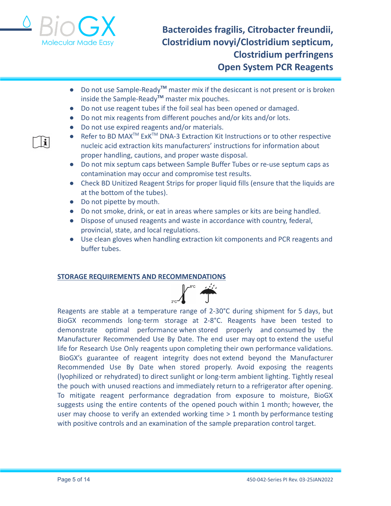

i.

# **Bacteroides fragilis, Citrobacter freundii, Clostridium novyi/Clostridium septicum, Clostridium perfringens Open System PCR Reagents**

- Do not use Sample-Ready**TM** master mix if the desiccant is not present or is broken inside the Sample-Ready**TM** master mix pouches.
- Do not use reagent tubes if the foil seal has been opened or damaged.
- Do not mix reagents from different pouches and/or kits and/or lots.
- Do not use expired reagents and/or materials.
- Refer to BD MAX<sup>™</sup> ExK<sup>™</sup> DNA-3 Extraction Kit Instructions or to other respective nucleic acid extraction kits manufacturers' instructions for information about proper handling, cautions, and proper waste disposal.
- Do not mix septum caps between Sample Buffer Tubes or re-use septum caps as contamination may occur and compromise test results.
- Check BD Unitized Reagent Strips for proper liquid fills (ensure that the liquids are at the bottom of the tubes).
- Do not pipette by mouth.
- Do not smoke, drink, or eat in areas where samples or kits are being handled.
- Dispose of unused reagents and waste in accordance with country, federal, provincial, state, and local regulations.
- Use clean gloves when handling extraction kit components and PCR reagents and buffer tubes.

## **STORAGE REQUIREMENTS AND RECOMMENDATIONS**



Reagents are stable at a temperature range of 2-30°C during shipment for 5 days, but BioGX recommends long-term storage at 2-8°C. Reagents have been tested to demonstrate optimal performance when stored properly and consumed by the Manufacturer Recommended Use By Date. The end user may opt to extend the useful life for Research Use Only reagents upon completing their own performance validations. BioGX's guarantee of reagent integrity does not extend beyond the Manufacturer Recommended Use By Date when stored properly. Avoid exposing the reagents (lyophilized or rehydrated) to direct sunlight or long-term ambient lighting. Tightly reseal the pouch with unused reactions and immediately return to a refrigerator after opening. To mitigate reagent performance degradation from exposure to moisture, BioGX suggests using the entire contents of the opened pouch within 1 month; however, the user may choose to verify an extended working time > 1 month by performance testing with positive controls and an examination of the sample preparation control target.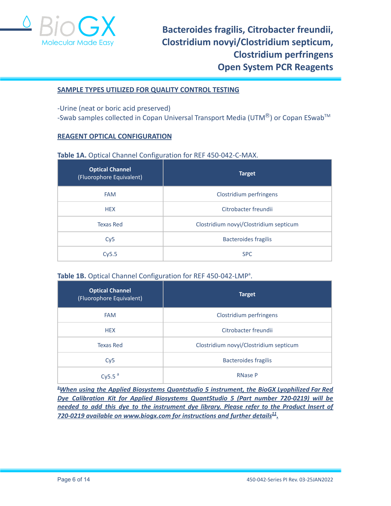

#### **SAMPLE TYPES UTILIZED FOR QUALITY CONTROL TESTING**

-Urine (neat or boric acid preserved)  $-$ Swab samples collected in Copan Universal Transport Media (UTM<sup>®</sup>) or Copan ESwab<sup>TM</sup>

### **REAGENT OPTICAL CONFIGURATION**

#### **Table 1A.** Optical Channel Configuration for REF 450-042-C-MAX.

| <b>Optical Channel</b><br>(Fluorophore Equivalent) | <b>Target</b>                          |  |  |
|----------------------------------------------------|----------------------------------------|--|--|
| <b>FAM</b>                                         | Clostridium perfringens                |  |  |
| <b>HEX</b>                                         | Citrobacter freundii                   |  |  |
| <b>Texas Red</b>                                   | Clostridium novyi/Clostridium septicum |  |  |
| Cy5                                                | <b>Bacteroides fragilis</b>            |  |  |
| Cy5.5                                              | <b>SPC</b>                             |  |  |

## Table 1B. Optical Channel Configuration for REF 450-042-LMP<sup>a</sup>.

| <b>Optical Channel</b><br>(Fluorophore Equivalent) | <b>Target</b>                          |  |  |
|----------------------------------------------------|----------------------------------------|--|--|
| <b>FAM</b>                                         | Clostridium perfringens                |  |  |
| <b>HEX</b>                                         | Citrobacter freundii                   |  |  |
| <b>Texas Red</b>                                   | Clostridium novyi/Clostridium septicum |  |  |
| Cy5                                                | <b>Bacteroides fragilis</b>            |  |  |
| Cy5.5 $a$                                          | <b>RNase P</b>                         |  |  |

**<sup>a</sup>***When using the Applied Biosystems Quantstudio 5 instrument, the BioGX Lyophilized Far Red Dye Calibration Kit for Applied Biosystems QuantStudio 5 (Part number 720-0219) will be needed to add this dye to the instrument dye library. Please refer to the Product Insert of 720-0219 available on [www.biogx.com](http://www.biogx.com) for instructions and further details 11 .*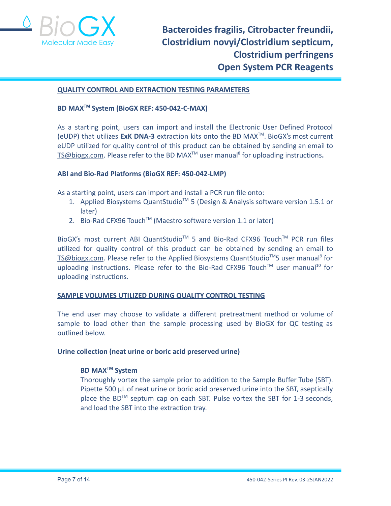

#### **QUALITY CONTROL AND EXTRACTION TESTING PARAMETERS**

## **BD MAXTM System (BioGX REF: 450-042-C-MAX)**

As a starting point, users can import and install the Electronic User Defined Protocol (eUDP) that utilizes **ExK DNA-3** extraction kits onto the BD MAXTM . BioGX's most current eUDP utilized for quality control of this product can be obtained by sending an email to [TS@biogx.com](mailto:TS@biogx.com). Please refer to the BD MAX<sup>™</sup> user manual<sup>8</sup> for uploading instructions.

#### **ABI and Bio-Rad Platforms (BioGX REF: 450-042-LMP)**

As a starting point, users can import and install a PCR run file onto:

- 1. Applied Biosystems QuantStudio<sup>™</sup> 5 (Design & Analysis software version 1.5.1 or later)
- 2. Bio-Rad CFX96 Touch<sup>™</sup> (Maestro software version 1.1 or later)

BioGX's most current ABI QuantStudio<sup>™</sup> 5 and Bio-Rad CFX96 Touch<sup>™</sup> PCR run files utilized for quality control of this product can be obtained by sending an email to [TS@biogx.com](mailto:TS@biogx.com). Please refer to the Applied Biosystems QuantStudio<sup>™</sup>5 user manual<sup>9</sup> for uploading instructions. Please refer to the Bio-Rad CFX96 Touch™ user manual<sup>10</sup> for uploading instructions.

#### **SAMPLE VOLUMES UTILIZED DURING QUALITY CONTROL TESTING**

The end user may choose to validate a different pretreatment method or volume of sample to load other than the sample processing used by BioGX for QC testing as outlined below.

#### **Urine collection (neat urine or boric acid preserved urine)**

## **BD MAXTM System**

Thoroughly vortex the sample prior to addition to the Sample Buffer Tube (SBT). Pipette 500 μL of neat urine or boric acid preserved urine into the SBT, aseptically place the BD<sup>™</sup> septum cap on each SBT. Pulse vortex the SBT for 1-3 seconds, and load the SBT into the extraction tray.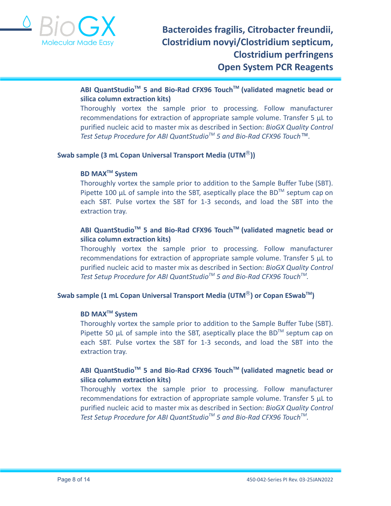

## **ABI QuantStudioTM 5 and Bio-Rad CFX96 TouchTM (validated magnetic bead or silica column extraction kits)**

Thoroughly vortex the sample prior to processing. Follow manufacturer recommendations for extraction of appropriate sample volume. Transfer 5 μL to purified nucleic acid to master mix as described in Section: *BioGX Quality Control Test Setup Procedure for ABI QuantStudioTM 5 and Bio-Rad CFX96 Touch™.*

## **Swab sample (3 mL Copan Universal Transport Media (UTM**Ⓡ**))**

## **BD MAXTM System**

Thoroughly vortex the sample prior to addition to the Sample Buffer Tube (SBT). Pipette 100  $\mu$ L of sample into the SBT, aseptically place the BD<sup>TM</sup> septum cap on each SBT. Pulse vortex the SBT for 1-3 seconds, and load the SBT into the extraction tray.

## **ABI QuantStudioTM 5 and Bio-Rad CFX96 TouchTM (validated magnetic bead or silica column extraction kits)**

Thoroughly vortex the sample prior to processing. Follow manufacturer recommendations for extraction of appropriate sample volume. Transfer 5 μL to purified nucleic acid to master mix as described in Section: *BioGX Quality Control Test Setup Procedure for ABI QuantStudioTM 5 and Bio-Rad CFX96 TouchTM .*

## **Swab sample (1 mL Copan Universal Transport Media (UTM**Ⓡ**) or Copan ESwabTM )**

## **BD MAXTM System**

Thoroughly vortex the sample prior to addition to the Sample Buffer Tube (SBT). Pipette 50  $\mu$ L of sample into the SBT, aseptically place the BD<sup>TM</sup> septum cap on each SBT. Pulse vortex the SBT for 1-3 seconds, and load the SBT into the extraction tray.

## **ABI QuantStudioTM 5 and Bio-Rad CFX96 TouchTM (validated magnetic bead or silica column extraction kits)**

Thoroughly vortex the sample prior to processing. Follow manufacturer recommendations for extraction of appropriate sample volume. Transfer 5 μL to purified nucleic acid to master mix as described in Section: *BioGX Quality Control Test Setup Procedure for ABI QuantStudioTM 5 and Bio-Rad CFX96 TouchTM .*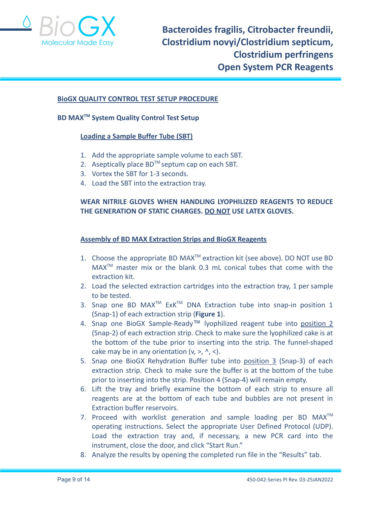

#### **BioGX QUALITY CONTROL TEST SETUP PROCEDURE**

## **BD MAXTM System Quality Control Test Setup**

#### **Loading a Sample Buffer Tube (SBT)**

- 1. Add the appropriate sample volume to each SBT.
- 2. Aseptically place  $BD^{TM}$  septum cap on each SBT.
- 3. Vortex the SBT for 1-3 seconds.
- 4. Load the SBT into the extraction tray.

## **WEAR NITRILE GLOVES WHEN HANDLING LYOPHILIZED REAGENTS TO REDUCE THE GENERATION OF STATIC CHARGES. DO NOT USE LATEX GLOVES.**

#### **Assembly of BD MAX Extraction Strips and BioGX Reagents**

- 1. Choose the appropriate BD MAX<sup>™</sup> extraction kit (see above). DO NOT use BD MAXTM master mix or the blank 0.3 mL conical tubes that come with the extraction kit.
- 2. Load the selected extraction cartridges into the extraction tray, 1 per sample to be tested.
- 3. Snap one BD MAX<sup>TM</sup> ExK<sup>TM</sup> DNA Extraction tube into snap-in position 1 (Snap-1) of each extraction strip (**Figure 1**).
- 4. Snap one BioGX Sample-Ready™ lyophilized reagent tube into position 2 (Snap-2) of each extraction strip. Check to make sure the lyophilized cake is at the bottom of the tube prior to inserting into the strip. The funnel-shaped cake may be in any orientation  $(v, >, \land, <)$ .
- 5. Snap one BioGX Rehydration Buffer tube into position 3 (Snap-3) of each extraction strip. Check to make sure the buffer is at the bottom of the tube prior to inserting into the strip. Position 4 (Snap-4) will remain empty.
- 6. Lift the tray and briefly examine the bottom of each strip to ensure all reagents are at the bottom of each tube and bubbles are not present in Extraction buffer reservoirs.
- 7. Proceed with worklist generation and sample loading per BD MAX<sup>™</sup> operating instructions. Select the appropriate User Defined Protocol (UDP). Load the extraction tray and, if necessary, a new PCR card into the instrument, close the door, and click "Start Run."
- 8. Analyze the results by opening the completed run file in the "Results" tab.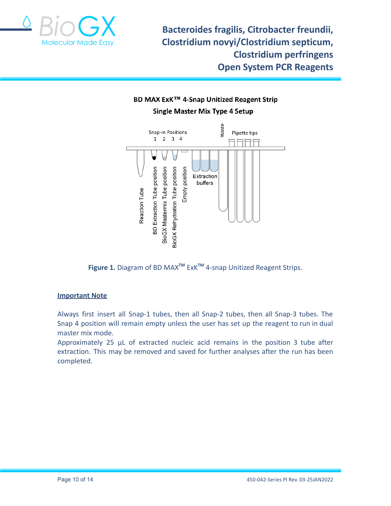

## BD MAX ExK™ 4-Snap Unitized Reagent Strip **Single Master Mix Type 4 Setup**



**Figure 1.** Diagram of BD MAX**TM** ExK**TM** 4-snap Unitized Reagent Strips.

## **Important Note**

Always first insert all Snap-1 tubes, then all Snap-2 tubes, then all Snap-3 tubes. The Snap 4 position will remain empty unless the user has set up the reagent to run in dual master mix mode.

Approximately 25 µL of extracted nucleic acid remains in the position 3 tube after extraction. This may be removed and saved for further analyses after the run has been completed.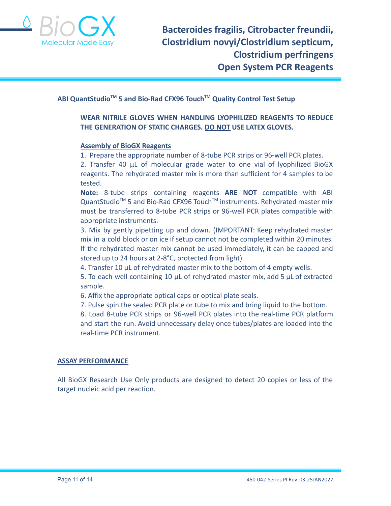

## **ABI QuantStudioTM 5 and Bio-Rad CFX96 TouchTM Quality Control Test Setup**

## **WEAR NITRILE GLOVES WHEN HANDLING LYOPHILIZED REAGENTS TO REDUCE THE GENERATION OF STATIC CHARGES. DO NOT USE LATEX GLOVES.**

#### **Assembly of BioGX Reagents**

1. Prepare the appropriate number of 8-tube PCR strips or 96-well PCR plates.

2. Transfer 40 μL of molecular grade water to one vial of lyophilized BioGX reagents. The rehydrated master mix is more than sufficient for 4 samples to be tested.

**Note:** 8-tube strips containing reagents **ARE NOT** compatible with ABI QuantStudio<sup>™</sup> 5 and Bio-Rad CFX96 Touch<sup>™</sup> instruments. Rehydrated master mix must be transferred to 8-tube PCR strips or 96-well PCR plates compatible with appropriate instruments.

3. Mix by gently pipetting up and down. (IMPORTANT: Keep rehydrated master mix in a cold block or on ice if setup cannot not be completed within 20 minutes. If the rehydrated master mix cannot be used immediately, it can be capped and stored up to 24 hours at 2-8°C, protected from light).

4. Transfer 10 μL of rehydrated master mix to the bottom of 4 empty wells.

5. To each well containing 10 μL of rehydrated master mix, add 5 μL of extracted sample.

6. Affix the appropriate optical caps or optical plate seals.

7. Pulse spin the sealed PCR plate or tube to mix and bring liquid to the bottom.

8. Load 8-tube PCR strips or 96-well PCR plates into the real-time PCR platform and start the run. Avoid unnecessary delay once tubes/plates are loaded into the real-time PCR instrument.

#### **ASSAY PERFORMANCE**

All BioGX Research Use Only products are designed to detect 20 copies or less of the target nucleic acid per reaction.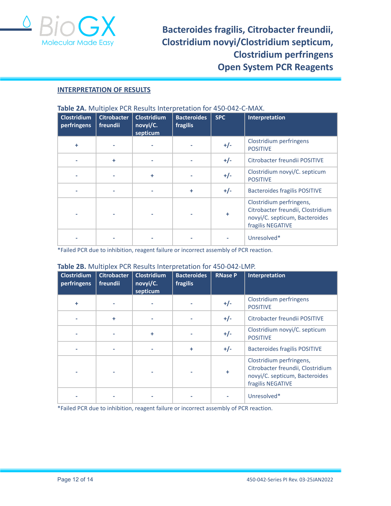

#### **INTERPRETATION OF RESULTS**

| <b>Clostridium</b><br>perfringens | <b>Citrobacter</b><br>freundii | <b>Clostridium</b><br>novyi/C.<br>septicum | <b>Bacteroides</b><br>fragilis | <b>SPC</b> | Interpretation                                                                                                       |
|-----------------------------------|--------------------------------|--------------------------------------------|--------------------------------|------------|----------------------------------------------------------------------------------------------------------------------|
| ÷                                 |                                |                                            |                                | $+/-$      | Clostridium perfringens<br><b>POSITIVE</b>                                                                           |
|                                   | ÷                              |                                            |                                | $+/-$      | Citrobacter freundii POSITIVE                                                                                        |
|                                   |                                | ÷                                          |                                | $+/-$      | Clostridium novyi/C. septicum<br><b>POSITIVE</b>                                                                     |
|                                   |                                |                                            | ÷                              | $+/-$      | <b>Bacteroides fragilis POSITIVE</b>                                                                                 |
|                                   |                                |                                            |                                | ÷          | Clostridium perfringens,<br>Citrobacter freundii, Clostridium<br>novyi/C. septicum, Bacteroides<br>fragilis NEGATIVE |
|                                   |                                |                                            |                                |            | Unresolved*                                                                                                          |

#### **Table 2A.** Multiplex PCR Results Interpretation for 450-042-C-MAX.

\*Failed PCR due to inhibition, reagent failure or incorrect assembly of PCR reaction.

#### **Table 2B.** Multiplex PCR Results Interpretation for 450-042-LMP.

| <b>Clostridium</b><br>perfringens | <b>Citrobacter</b><br>freundii | <b>Clostridium</b><br>novyi/C.<br>septicum | <b>Bacteroides</b><br>fragilis | <b>RNase P</b> | Interpretation                                                                                                       |
|-----------------------------------|--------------------------------|--------------------------------------------|--------------------------------|----------------|----------------------------------------------------------------------------------------------------------------------|
| ÷                                 |                                |                                            |                                | $+/-$          | Clostridium perfringens<br><b>POSITIVE</b>                                                                           |
|                                   | ÷                              |                                            |                                | $+/-$          | Citrobacter freundii POSITIVE                                                                                        |
|                                   |                                | ÷                                          |                                | $+/-$          | Clostridium novyi/C. septicum<br><b>POSITIVE</b>                                                                     |
|                                   |                                |                                            | $\ddot{}$                      | $+/-$          | <b>Bacteroides fragilis POSITIVE</b>                                                                                 |
|                                   |                                |                                            |                                | $\ddot{}$      | Clostridium perfringens,<br>Citrobacter freundii, Clostridium<br>novyi/C. septicum, Bacteroides<br>fragilis NEGATIVE |
|                                   |                                |                                            |                                |                | Unresolved*                                                                                                          |

\*Failed PCR due to inhibition, reagent failure or incorrect assembly of PCR reaction.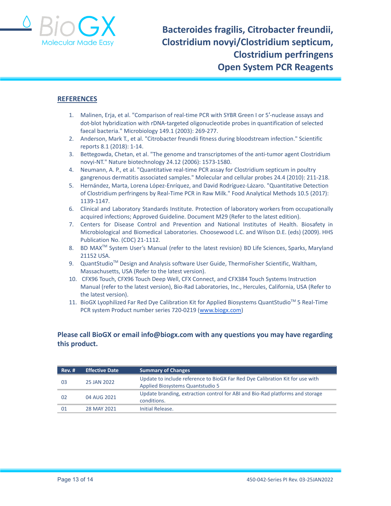

#### **REFERENCES**

- 1. Malinen, Erja, et al. "Comparison of real-time PCR with SYBR Green I or 5′-nuclease assays and dot-blot hybridization with rDNA-targeted oligonucleotide probes in quantification of selected faecal bacteria." Microbiology 149.1 (2003): 269-277.
- 2. Anderson, Mark T., et al. "Citrobacter freundii fitness during bloodstream infection." Scientific reports 8.1 (2018): 1-14.
- 3. Bettegowda, Chetan, et al. "The genome and transcriptomes of the anti-tumor agent Clostridium novyi-NT." Nature biotechnology 24.12 (2006): 1573-1580.
- 4. Neumann, A. P., et al. "Quantitative real-time PCR assay for Clostridium septicum in poultry gangrenous dermatitis associated samples." Molecular and cellular probes 24.4 (2010): 211-218.
- 5. Hernández, Marta, Lorena López-Enríquez, and David Rodríguez-Lázaro. "Quantitative Detection of Clostridium perfringens by Real-Time PCR in Raw Milk." Food Analytical Methods 10.5 (2017): 1139-1147.
- 6. Clinical and Laboratory Standards Institute. Protection of laboratory workers from occupationally acquired infections; Approved Guideline. Document M29 (Refer to the latest edition).
- 7. Centers for Disease Control and Prevention and National Institutes of Health. Biosafety in Microbiological and Biomedical Laboratories. Choosewood L.C. and Wilson D.E. (eds) (2009). HHS Publication No. (CDC) 21-1112.
- 8. BD MAX<sup>™</sup> System User's Manual (refer to the latest revision) BD Life Sciences, Sparks, Maryland 21152 USA.
- 9. QuantStudio<sup>™</sup> Design and Analysis software User Guide, ThermoFisher Scientific, Waltham, Massachusetts, USA (Refer to the latest version).
- 10. CFX96 Touch, CFX96 Touch Deep Well, CFX Connect, and CFX384 Touch Systems Instruction Manual (refer to the latest version), Bio-Rad Laboratories, Inc., Hercules, California, USA (Refer to the latest version).
- 11. BioGX Lyophilized Far Red Dye Calibration Kit for Applied Biosystems QuantStudio™ 5 Real-Time PCR system Product number series 720-0219 ([www.biogx.com\)](http://www.biogx.com)

## **Please call BioGX or email info@biogx.com with any questions you may have regarding this product.**

| Rev. # | <b>Effective Date</b> | <b>Summary of Changes</b>                                                                                         |
|--------|-----------------------|-------------------------------------------------------------------------------------------------------------------|
| -03    | 25 JAN 2022           | Update to include reference to BioGX Far Red Dye Calibration Kit for use with<br>Applied Biosystems Quantstudio 5 |
| 02     | 04 AUG 2021           | Update branding, extraction control for ABI and Bio-Rad platforms and storage<br>conditions.                      |
| 01     | 28 MAY 2021           | Initial Release.                                                                                                  |